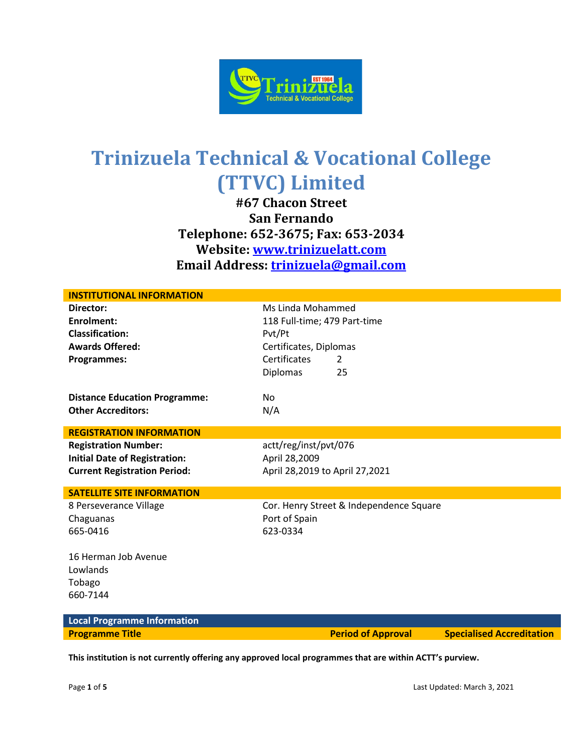

**#67 Chacon Street San Fernando Telephone: 652-3675; Fax: 653-2034 Website: [www.trinizuelatt.com](http://www.trinizuelatt.com/) Email Address: [trinizuela@gmail.com](mailto:trinizuela@gmail.com)**

| <b>INSTITUTIONAL INFORMATION</b>     |                                         |  |
|--------------------------------------|-----------------------------------------|--|
| Director:                            | Ms Linda Mohammed                       |  |
| <b>Enrolment:</b>                    | 118 Full-time; 479 Part-time            |  |
| <b>Classification:</b>               | Pvt/Pt                                  |  |
| <b>Awards Offered:</b>               | Certificates, Diplomas                  |  |
| Programmes:                          | Certificates<br>$\mathcal{L}$           |  |
|                                      | <b>Diplomas</b><br>25                   |  |
| <b>Distance Education Programme:</b> | No.                                     |  |
| <b>Other Accreditors:</b>            | N/A                                     |  |
| <b>REGISTRATION INFORMATION</b>      |                                         |  |
| <b>Registration Number:</b>          | actt/reg/inst/pvt/076                   |  |
| <b>Initial Date of Registration:</b> | April 28,2009                           |  |
| <b>Current Registration Period:</b>  | April 28,2019 to April 27,2021          |  |
| <b>SATELLITE SITE INFORMATION</b>    |                                         |  |
| 8 Perseverance Village               | Cor. Henry Street & Independence Square |  |
| Chaguanas                            | Port of Spain                           |  |
| 665-0416                             | 623-0334                                |  |
| 16 Herman Job Avenue                 |                                         |  |
| Lowlands                             |                                         |  |
| Tobago                               |                                         |  |
| 660-7144                             |                                         |  |
| <b>Local Programme Information</b>   |                                         |  |

**Programme Title Period of Approval Specialised Accreditation**

**This institution is not currently offering any approved local programmes that are within ACTT's purview.**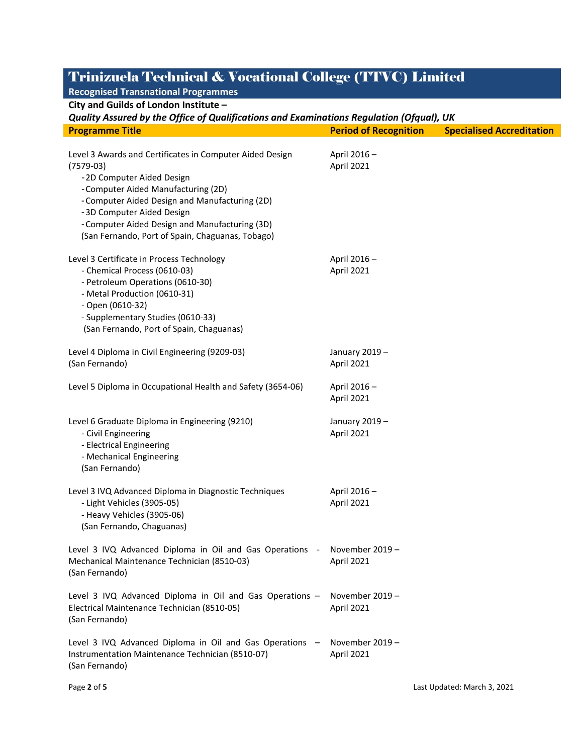### **Recognised Transnational Programmes**

**City and Guilds of London Institute –**

#### *Quality Assured by the Office of Qualifications and Examinations Regulation (Ofqual), UK*

| <b>Programme Title</b>                                                                                                                                                                                                                                                                                                          | <b>Period of Recognition</b>  | <b>Specialised Accreditation</b> |
|---------------------------------------------------------------------------------------------------------------------------------------------------------------------------------------------------------------------------------------------------------------------------------------------------------------------------------|-------------------------------|----------------------------------|
| Level 3 Awards and Certificates in Computer Aided Design<br>$(7579-03)$<br>-2D Computer Aided Design<br>-Computer Aided Manufacturing (2D)<br>- Computer Aided Design and Manufacturing (2D)<br>-3D Computer Aided Design<br>- Computer Aided Design and Manufacturing (3D)<br>(San Fernando, Port of Spain, Chaguanas, Tobago) | April 2016-<br>April 2021     |                                  |
| Level 3 Certificate in Process Technology<br>- Chemical Process (0610-03)<br>- Petroleum Operations (0610-30)<br>- Metal Production (0610-31)<br>- Open (0610-32)<br>- Supplementary Studies (0610-33)<br>(San Fernando, Port of Spain, Chaguanas)                                                                              | April 2016-<br>April 2021     |                                  |
| Level 4 Diploma in Civil Engineering (9209-03)<br>(San Fernando)                                                                                                                                                                                                                                                                | January 2019-<br>April 2021   |                                  |
| Level 5 Diploma in Occupational Health and Safety (3654-06)                                                                                                                                                                                                                                                                     | April 2016-<br>April 2021     |                                  |
| Level 6 Graduate Diploma in Engineering (9210)<br>- Civil Engineering<br>- Electrical Engineering<br>- Mechanical Engineering<br>(San Fernando)                                                                                                                                                                                 | January 2019-<br>April 2021   |                                  |
| Level 3 IVQ Advanced Diploma in Diagnostic Techniques<br>- Light Vehicles (3905-05)<br>- Heavy Vehicles (3905-06)<br>(San Fernando, Chaguanas)                                                                                                                                                                                  | April 2016-<br>April 2021     |                                  |
| Level 3 IVQ Advanced Diploma in Oil and Gas Operations - November 2019 -<br>Mechanical Maintenance Technician (8510-03)<br>(San Fernando)                                                                                                                                                                                       | April 2021                    |                                  |
| Level 3 IVQ Advanced Diploma in Oil and Gas Operations -<br>Electrical Maintenance Technician (8510-05)<br>(San Fernando)                                                                                                                                                                                                       | November 2019 -<br>April 2021 |                                  |
| Level 3 IVQ Advanced Diploma in Oil and Gas Operations -<br>Instrumentation Maintenance Technician (8510-07)<br>(San Fernando)                                                                                                                                                                                                  | November 2019 -<br>April 2021 |                                  |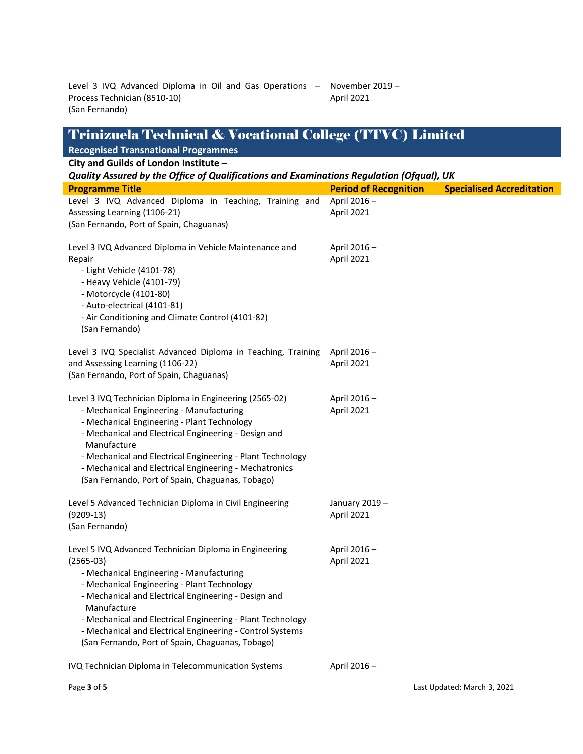Level 3 IVQ Advanced Diploma in Oil and Gas Operations – November 2019 – Process Technician (8510-10) (San Fernando) April 2021

| Trinizuela Technical & Vocational College (TTVC) Limited                                                                                                                                                                                                                                                                                                                                                               |                              |                                  |
|------------------------------------------------------------------------------------------------------------------------------------------------------------------------------------------------------------------------------------------------------------------------------------------------------------------------------------------------------------------------------------------------------------------------|------------------------------|----------------------------------|
| <b>Recognised Transnational Programmes</b>                                                                                                                                                                                                                                                                                                                                                                             |                              |                                  |
| City and Guilds of London Institute -                                                                                                                                                                                                                                                                                                                                                                                  |                              |                                  |
| Quality Assured by the Office of Qualifications and Examinations Regulation (Ofqual), UK                                                                                                                                                                                                                                                                                                                               |                              |                                  |
| <b>Programme Title</b>                                                                                                                                                                                                                                                                                                                                                                                                 | <b>Period of Recognition</b> | <b>Specialised Accreditation</b> |
| Level 3 IVQ Advanced Diploma in Teaching, Training and<br>Assessing Learning (1106-21)<br>(San Fernando, Port of Spain, Chaguanas)                                                                                                                                                                                                                                                                                     | April 2016-<br>April 2021    |                                  |
| Level 3 IVQ Advanced Diploma in Vehicle Maintenance and<br>Repair<br>- Light Vehicle (4101-78)<br>- Heavy Vehicle (4101-79)<br>- Motorcycle (4101-80)<br>- Auto-electrical (4101-81)<br>- Air Conditioning and Climate Control (4101-82)<br>(San Fernando)                                                                                                                                                             | April 2016-<br>April 2021    |                                  |
| Level 3 IVQ Specialist Advanced Diploma in Teaching, Training<br>and Assessing Learning (1106-22)<br>(San Fernando, Port of Spain, Chaguanas)                                                                                                                                                                                                                                                                          | April 2016-<br>April 2021    |                                  |
| Level 3 IVQ Technician Diploma in Engineering (2565-02)<br>- Mechanical Engineering - Manufacturing<br>- Mechanical Engineering - Plant Technology<br>- Mechanical and Electrical Engineering - Design and<br>Manufacture<br>- Mechanical and Electrical Engineering - Plant Technology<br>- Mechanical and Electrical Engineering - Mechatronics<br>(San Fernando, Port of Spain, Chaguanas, Tobago)                  | April 2016-<br>April 2021    |                                  |
| Level 5 Advanced Technician Diploma in Civil Engineering<br>$(9209-13)$<br>(San Fernando)                                                                                                                                                                                                                                                                                                                              | January 2019-<br>April 2021  |                                  |
| Level 5 IVQ Advanced Technician Diploma in Engineering<br>$(2565-03)$<br>- Mechanical Engineering - Manufacturing<br>- Mechanical Engineering - Plant Technology<br>- Mechanical and Electrical Engineering - Design and<br>Manufacture<br>- Mechanical and Electrical Engineering - Plant Technology<br>- Mechanical and Electrical Engineering - Control Systems<br>(San Fernando, Port of Spain, Chaguanas, Tobago) | April 2016-<br>April 2021    |                                  |
| IVQ Technician Diploma in Telecommunication Systems                                                                                                                                                                                                                                                                                                                                                                    | April 2016-                  |                                  |

Page **3** of **5** Last Updated: March 3, 2021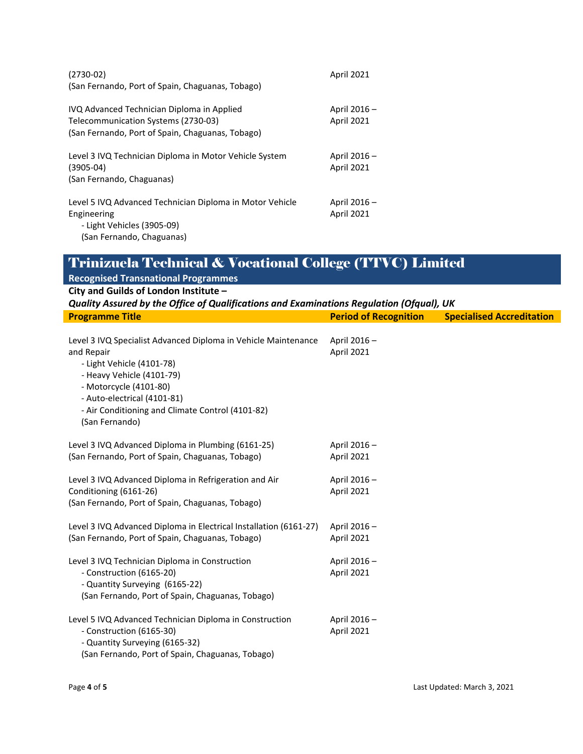| $(2730-02)$<br>(San Fernando, Port of Spain, Chaguanas, Tobago)                                                                       | April 2021                        |
|---------------------------------------------------------------------------------------------------------------------------------------|-----------------------------------|
| IVQ Advanced Technician Diploma in Applied<br>Telecommunication Systems (2730-03)<br>(San Fernando, Port of Spain, Chaguanas, Tobago) | April 2016-<br>April 2021         |
| Level 3 IVQ Technician Diploma in Motor Vehicle System<br>$(3905-04)$<br>(San Fernando, Chaguanas)                                    | April 2016 -<br><b>April 2021</b> |
| Level 5 IVQ Advanced Technician Diploma in Motor Vehicle<br>Engineering<br>- Light Vehicles (3905-09)<br>(San Fernando, Chaguanas)    | April 2016 -<br><b>April 2021</b> |

| <b>Recognised Transnational Programmes</b>                                                                                                                                                                                                                            |                              |                                  |  |
|-----------------------------------------------------------------------------------------------------------------------------------------------------------------------------------------------------------------------------------------------------------------------|------------------------------|----------------------------------|--|
| City and Guilds of London Institute -                                                                                                                                                                                                                                 |                              |                                  |  |
| Quality Assured by the Office of Qualifications and Examinations Regulation (Ofqual), UK                                                                                                                                                                              |                              |                                  |  |
| <b>Programme Title</b>                                                                                                                                                                                                                                                | <b>Period of Recognition</b> | <b>Specialised Accreditation</b> |  |
|                                                                                                                                                                                                                                                                       |                              |                                  |  |
| Level 3 IVQ Specialist Advanced Diploma in Vehicle Maintenance<br>and Repair<br>- Light Vehicle (4101-78)<br>- Heavy Vehicle (4101-79)<br>- Motorcycle (4101-80)<br>- Auto-electrical (4101-81)<br>- Air Conditioning and Climate Control (4101-82)<br>(San Fernando) | April 2016-<br>April 2021    |                                  |  |
| Level 3 IVQ Advanced Diploma in Plumbing (6161-25)<br>(San Fernando, Port of Spain, Chaguanas, Tobago)                                                                                                                                                                | April 2016-<br>April 2021    |                                  |  |
| Level 3 IVQ Advanced Diploma in Refrigeration and Air<br>Conditioning (6161-26)<br>(San Fernando, Port of Spain, Chaguanas, Tobago)                                                                                                                                   | April 2016-<br>April 2021    |                                  |  |
| Level 3 IVQ Advanced Diploma in Electrical Installation (6161-27)<br>(San Fernando, Port of Spain, Chaguanas, Tobago)                                                                                                                                                 | April 2016-<br>April 2021    |                                  |  |
| Level 3 IVQ Technician Diploma in Construction<br>- Construction (6165-20)<br>- Quantity Surveying (6165-22)<br>(San Fernando, Port of Spain, Chaguanas, Tobago)                                                                                                      | April 2016-<br>April 2021    |                                  |  |
| Level 5 IVQ Advanced Technician Diploma in Construction<br>- Construction (6165-30)<br>- Quantity Surveying (6165-32)<br>(San Fernando, Port of Spain, Chaguanas, Tobago)                                                                                             | April 2016-<br>April 2021    |                                  |  |